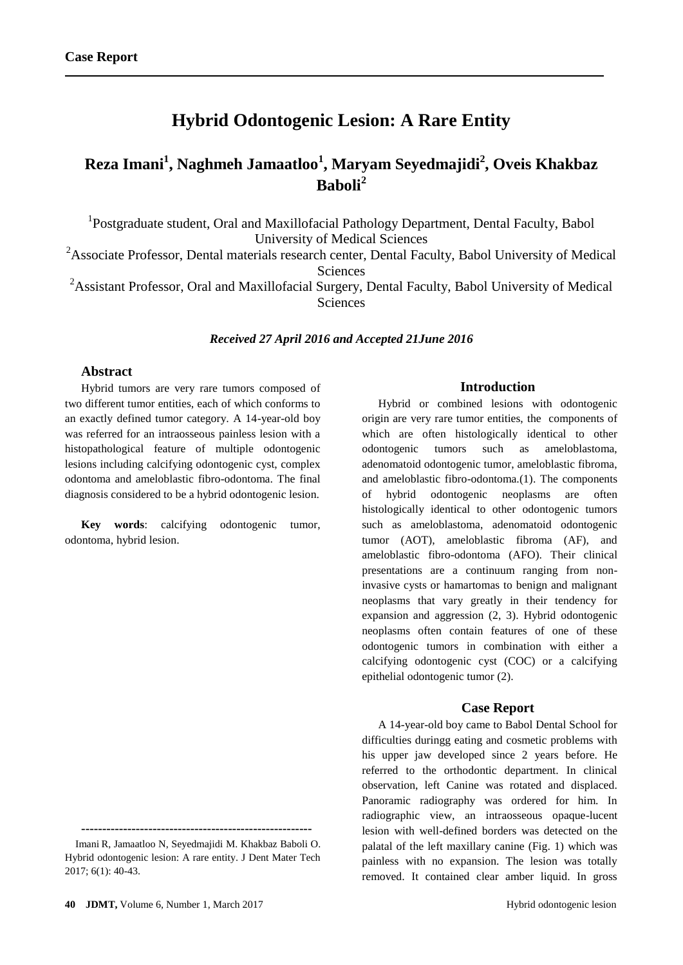# **Hybrid Odontogenic Lesion: A Rare Entity**

# **Reza Imani<sup>1</sup> , Naghmeh Jamaatloo<sup>1</sup> , Maryam Seyedmajidi<sup>2</sup> , Oveis Khakbaz Baboli<sup>2</sup>**

<sup>1</sup>Postgraduate student, Oral and Maxillofacial Pathology Department, Dental Faculty, Babol University of Medical Sciences

 $2A$ ssociate Professor, Dental materials research center, Dental Faculty, Babol University of Medical **Sciences** 

<sup>2</sup> Assistant Professor, Oral and Maxillofacial Surgery, Dental Faculty, Babol University of Medical **Sciences** 

#### *Received 27 April 2016 and Accepted 21June 2016*

## **Abstract**

Hybrid tumors are very rare tumors composed of two different tumor entities, each of which conforms to an exactly defined tumor category. A 14-year-old boy was referred for an intraosseous painless lesion with a histopathological feature of multiple odontogenic lesions including calcifying odontogenic cyst, complex odontoma and ameloblastic fibro-odontoma. The final diagnosis considered to be a hybrid odontogenic lesion.

**Key words**: calcifying odontogenic tumor, odontoma, hybrid lesion.

**-------------------------------------------------------** Imani R, Jamaatloo N, Seyedmajidi M. Khakbaz Baboli O.

### **Introduction**

Hybrid or combined lesions with odontogenic origin are very rare tumor entities, the components of which are often histologically identical to other odontogenic tumors such as ameloblastoma, adenomatoid odontogenic tumor, ameloblastic fibroma, and ameloblastic fibro-odontoma.(1). The components of hybrid odontogenic neoplasms are often histologically identical to other odontogenic tumors such as ameloblastoma, adenomatoid odontogenic tumor (AOT), ameloblastic fibroma (AF), and ameloblastic fibro-odontoma (AFO). Their clinical presentations are a continuum ranging from noninvasive cysts or hamartomas to benign and malignant neoplasms that vary greatly in their tendency for expansion and aggression (2, 3). Hybrid odontogenic neoplasms often contain features of one of these odontogenic tumors in combination with either a calcifying odontogenic cyst (COC) or a calcifying epithelial odontogenic tumor (2).

#### **Case Report**

A 14-year-old boy came to Babol Dental School for difficulties duringg eating and cosmetic problems with his upper jaw developed since 2 years before. He referred to the orthodontic department. In clinical observation, left Canine was rotated and displaced. Panoramic radiography was ordered for him. In radiographic view, an intraosseous opaque-lucent lesion with well-defined borders was detected on the palatal of the left maxillary canine (Fig. 1) which was painless with no expansion. The lesion was totally removed. It contained clear amber liquid. In gross

Hybrid odontogenic lesion: A rare entity. J Dent Mater Tech 2017; 6(1): 40-43.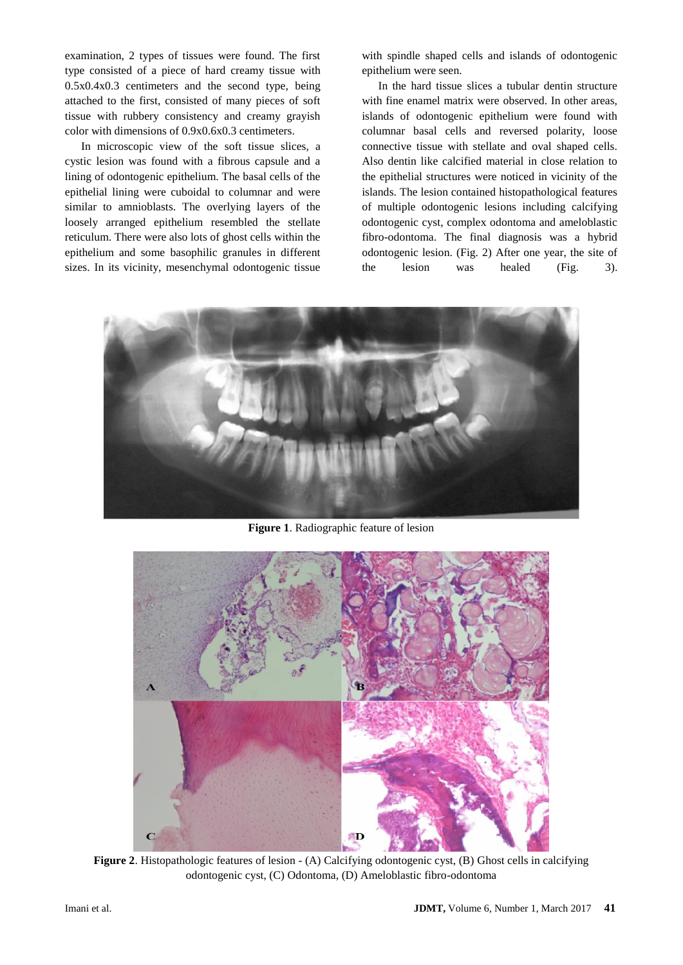examination, 2 types of tissues were found. The first type consisted of a piece of hard creamy tissue with 0.5x0.4x0.3 centimeters and the second type, being attached to the first, consisted of many pieces of soft tissue with rubbery consistency and creamy grayish color with dimensions of 0.9x0.6x0.3 centimeters.

In microscopic view of the soft tissue slices, a cystic lesion was found with a fibrous capsule and a lining of odontogenic epithelium. The basal cells of the epithelial lining were cuboidal to columnar and were similar to amnioblasts. The overlying layers of the loosely arranged epithelium resembled the stellate reticulum. There were also lots of ghost cells within the epithelium and some basophilic granules in different sizes. In its vicinity, mesenchymal odontogenic tissue

with spindle shaped cells and islands of odontogenic epithelium were seen.

In the hard tissue slices a tubular dentin structure with fine enamel matrix were observed. In other areas, islands of odontogenic epithelium were found with columnar basal cells and reversed polarity, loose connective tissue with stellate and oval shaped cells. Also dentin like calcified material in close relation to the epithelial structures were noticed in vicinity of the islands. The lesion contained histopathological features of multiple odontogenic lesions including calcifying odontogenic cyst, complex odontoma and ameloblastic fibro-odontoma. The final diagnosis was a hybrid odontogenic lesion. (Fig. 2) After one year, the site of the lesion was healed (Fig. 3).



**Figure 1**. Radiographic feature of lesion



**Figure 2**. Histopathologic features of lesion - (A) Calcifying odontogenic cyst, (B) Ghost cells in calcifying odontogenic cyst, (C) Odontoma, (D) Ameloblastic fibro-odontoma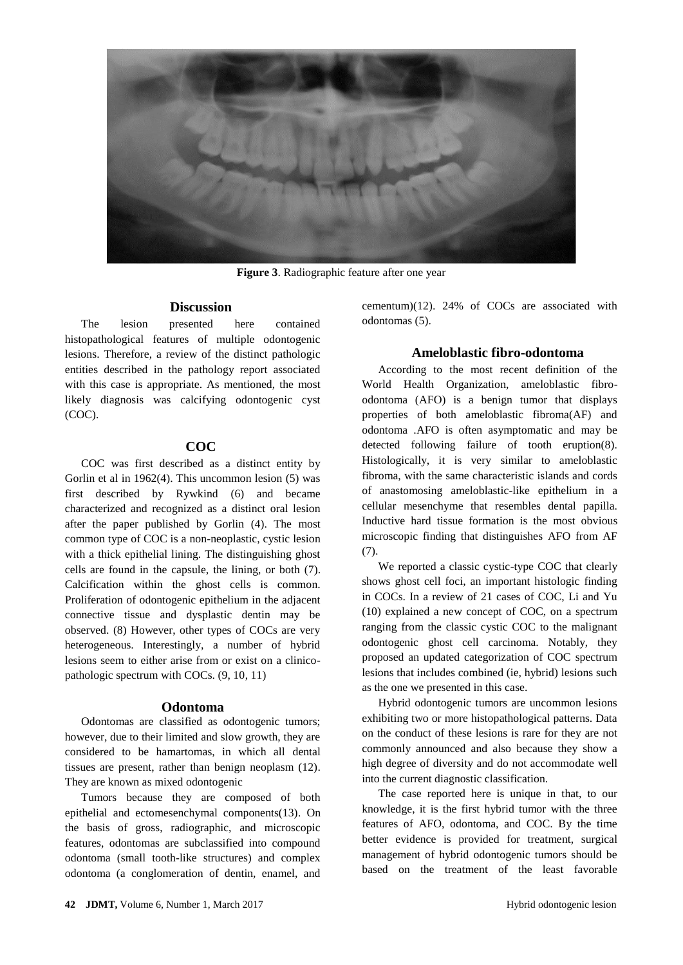

**Figure 3**. Radiographic feature after one year

#### **Discussion**

The lesion presented here contained histopathological features of multiple odontogenic lesions. Therefore, a review of the distinct pathologic entities described in the pathology report associated with this case is appropriate. As mentioned, the most likely diagnosis was calcifying odontogenic cyst (COC).

#### **COC**

COC was first described as a distinct entity by Gorlin et al in 1962(4). This uncommon lesion (5) was first described by Rywkind (6) and became characterized and recognized as a distinct oral lesion after the paper published by Gorlin (4). The most common type of COC is a non-neoplastic, cystic lesion with a thick epithelial lining. The distinguishing ghost cells are found in the capsule, the lining, or both (7). Calcification within the ghost cells is common. Proliferation of odontogenic epithelium in the adjacent connective tissue and dysplastic dentin may be observed. (8) However, other types of COCs are very heterogeneous. Interestingly, a number of hybrid lesions seem to either arise from or exist on a clinicopathologic spectrum with COCs. (9, 10, 11)

#### **Odontoma**

Odontomas are classified as odontogenic tumors; however, due to their limited and slow growth, they are considered to be hamartomas, in which all dental tissues are present, rather than benign neoplasm (12). They are known as mixed odontogenic

Tumors because they are composed of both epithelial and ectomesenchymal components(13). On the basis of gross, radiographic, and microscopic features, odontomas are subclassified into compound odontoma (small tooth-like structures) and complex odontoma (a conglomeration of dentin, enamel, and

cementum)(12). 24% of COCs are associated with odontomas (5).

#### **Ameloblastic fibro-odontoma**

According to the most recent definition of the World Health Organization, ameloblastic fibroodontoma (AFO) is a benign tumor that displays properties of both ameloblastic fibroma(AF) and odontoma .AFO is often asymptomatic and may be detected following failure of tooth eruption(8). Histologically, it is very similar to ameloblastic fibroma, with the same characteristic islands and cords of anastomosing ameloblastic-like epithelium in a cellular mesenchyme that resembles dental papilla. Inductive hard tissue formation is the most obvious microscopic finding that distinguishes AFO from AF (7).

We reported a classic cystic-type COC that clearly shows ghost cell foci, an important histologic finding in COCs. In a review of 21 cases of COC, Li and Yu (10) explained a new concept of COC, on a spectrum ranging from the classic cystic COC to the malignant odontogenic ghost cell carcinoma. Notably, they proposed an updated categorization of COC spectrum lesions that includes combined (ie, hybrid) lesions such as the one we presented in this case.

Hybrid odontogenic tumors are uncommon lesions exhibiting two or more histopathological patterns. Data on the conduct of these lesions is rare for they are not commonly announced and also because they show a high degree of diversity and do not accommodate well into the current diagnostic classification.

The case reported here is unique in that, to our knowledge, it is the first hybrid tumor with the three features of AFO, odontoma, and COC. By the time better evidence is provided for treatment, surgical management of hybrid odontogenic tumors should be based on the treatment of the least favorable